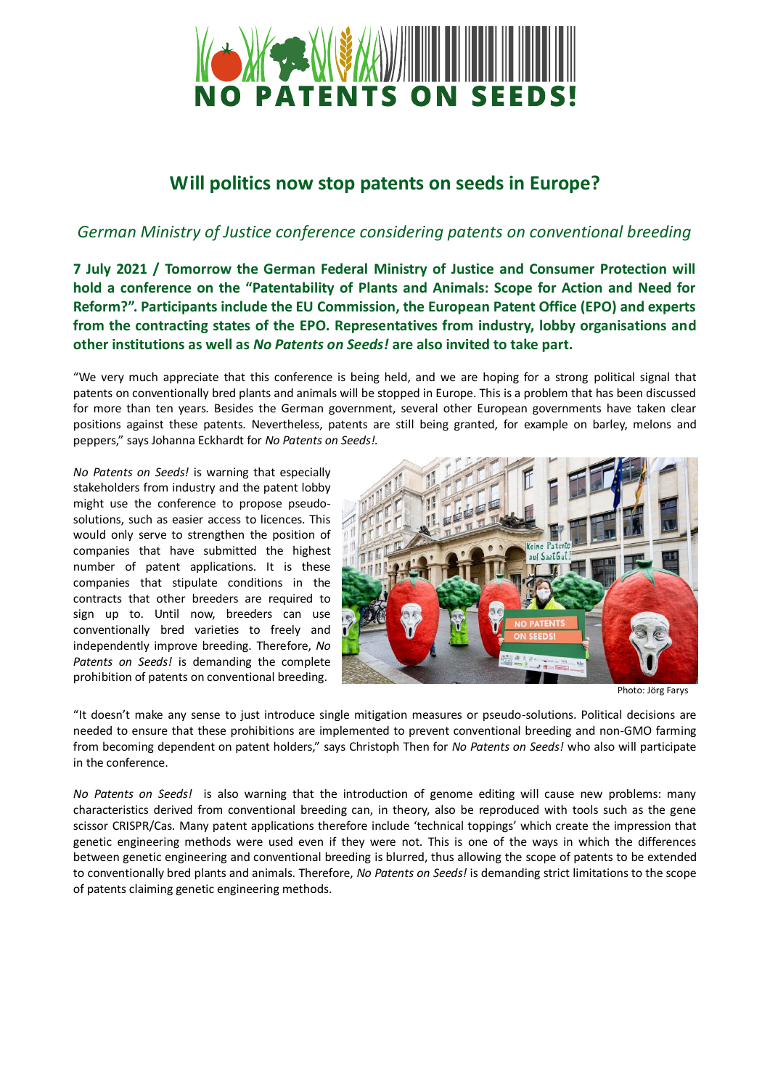

## **Will politics now stop patents on seeds in Europe?**

## *German Ministry of Justice conference considering patents on conventional breeding*

**7 July 2021 / Tomorrow the German Federal Ministry of Justice and Consumer Protection will hold a conference on the "Patentability of Plants and Animals: Scope for Action and Need for Reform?". Participants include the EU Commission, the European Patent Office (EPO) and experts from the contracting states of the EPO. Representatives from industry, lobby organisations and other institutions as well as** *No Patents on Seeds!* **are also invited to take part.** 

"We very much appreciate that this conference is being held, and we are hoping for a strong political signal that patents on conventionally bred plants and animals will be stopped in Europe. This is a problem that has been discussed for more than ten years. Besides the German government, several other European governments have taken clear positions against these patents. Nevertheless, patents are still being granted, for example on barley, melons and peppers," says Johanna Eckhardt for *No Patents on Seeds!.*

*No Patents on Seeds!* is warning that especially stakeholders from industry and the patent lobby might use the conference to propose pseudosolutions, such as easier access to licences. This would only serve to strengthen the position of companies that have submitted the highest number of patent applications. It is these companies that stipulate conditions in the contracts that other breeders are required to sign up to. Until now, breeders can use conventionally bred varieties to freely and independently improve breeding. Therefore, *No Patents on Seeds!* is demanding the complete prohibition of patents on conventional breeding.



Photo: Jörg Farys

"It doesn't make any sense to just introduce single mitigation measures or pseudo-solutions. Political decisions are needed to ensure that these prohibitions are implemented to prevent conventional breeding and non-GMO farming from becoming dependent on patent holders," says Christoph Then for *No Patents on Seeds!* who also will participate in the conference.

*No Patents on Seeds!* is also warning that the introduction of genome editing will cause new problems: many characteristics derived from conventional breeding can, in theory, also be reproduced with tools such as the gene scissor CRISPR/Cas. Many patent applications therefore include 'technical toppings' which create the impression that genetic engineering methods were used even if they were not. This is one of the ways in which the differences between genetic engineering and conventional breeding is blurred, thus allowing the scope of patents to be extended to conventionally bred plants and animals. Therefore, *No Patents on Seeds!* is demanding strict limitations to the scope of patents claiming genetic engineering methods.